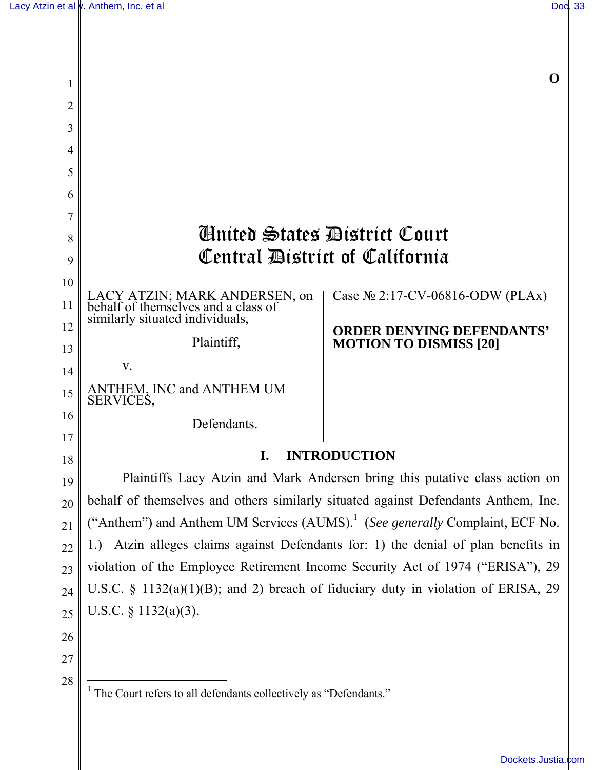$\overline{\phantom{a}}$ 

| 2        |                                                                                          |                                                                   |
|----------|------------------------------------------------------------------------------------------|-------------------------------------------------------------------|
| 3        |                                                                                          |                                                                   |
| 4        |                                                                                          |                                                                   |
| 5        |                                                                                          |                                                                   |
| 6        |                                                                                          |                                                                   |
| 7        |                                                                                          |                                                                   |
| 8        | Ginited States Bistrict Court<br>Central District of California                          |                                                                   |
| 9        |                                                                                          |                                                                   |
| 10       | LACY ATZIN; MARK ANDERSEN, on<br>behalf of themselves and a class of                     | Case $N_2$ 2:17-CV-06816-ODW (PLAx)                               |
| 11<br>12 | similarly situated individuals,                                                          |                                                                   |
| 13       | Plaintiff,                                                                               | <b>ORDER DENYING DEFENDANTS'</b><br><b>MOTION TO DISMISS [20]</b> |
| 14       | V.                                                                                       |                                                                   |
| 15       | ANTHEM, INC and ANTHEM UM                                                                |                                                                   |
| 16       | SERVICES,                                                                                |                                                                   |
| 17       | Defendants.                                                                              |                                                                   |
| 18       | <b>INTRODUCTION</b><br>I.                                                                |                                                                   |
| 19       | Plaintiffs Lacy Atzin and Mark Andersen bring this putative class action on              |                                                                   |
| 20       | behalf of themselves and others similarly situated against Defendants Anthem, Inc.       |                                                                   |
| 21       | ("Anthem") and Anthem UM Services (AUMS). <sup>1</sup> (See generally Complaint, ECF No. |                                                                   |
| 22       | 1.) Atzin alleges claims against Defendants for: 1) the denial of plan benefits in       |                                                                   |
| 23       | violation of the Employee Retirement Income Security Act of 1974 ("ERISA"), 29           |                                                                   |
| 24       | U.S.C. $\S$ 1132(a)(1)(B); and 2) breach of fiduciary duty in violation of ERISA, 29     |                                                                   |
| 25       | U.S.C. $\S$ 1132(a)(3).                                                                  |                                                                   |
| 26       |                                                                                          |                                                                   |
| 27       |                                                                                          |                                                                   |
| 28       | <sup>1</sup> The Court refers to all defendants collectively as "Defendants."            |                                                                   |

[Dockets.Justia.com](https://dockets.justia.com/)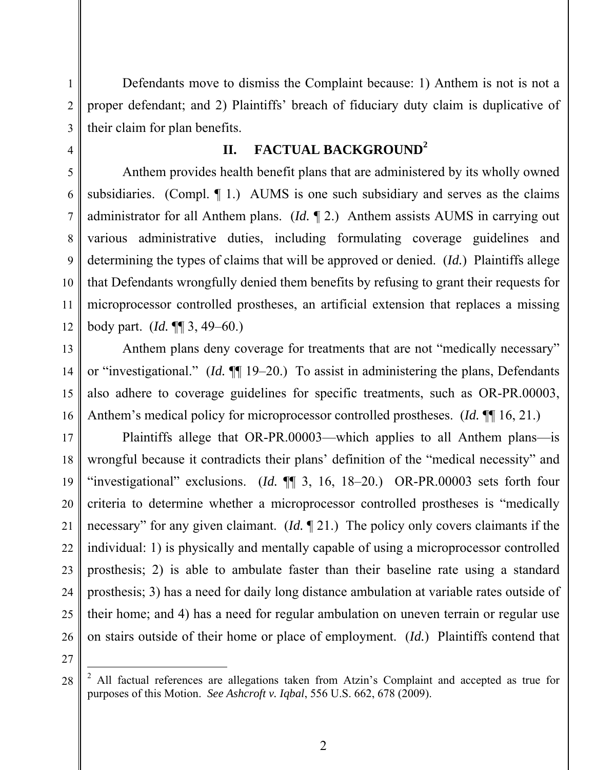Defendants move to dismiss the Complaint because: 1) Anthem is not is not a proper defendant; and 2) Plaintiffs' breach of fiduciary duty claim is duplicative of their claim for plan benefits.

# **II. FACTUAL BACKGROUND<sup>2</sup>**

Anthem provides health benefit plans that are administered by its wholly owned subsidiaries. (Compl.  $\P$  1.) AUMS is one such subsidiary and serves as the claims administrator for all Anthem plans. (*Id.* ¶ 2.) Anthem assists AUMS in carrying out various administrative duties, including formulating coverage guidelines and determining the types of claims that will be approved or denied. (*Id.*) Plaintiffs allege that Defendants wrongfully denied them benefits by refusing to grant their requests for microprocessor controlled prostheses, an artificial extension that replaces a missing body part. (*Id.* ¶¶ 3, 49–60.)

 Anthem plans deny coverage for treatments that are not "medically necessary" or "investigational." (*Id.* ¶¶ 19–20.) To assist in administering the plans, Defendants also adhere to coverage guidelines for specific treatments, such as OR-PR.00003, Anthem's medical policy for microprocessor controlled prostheses. (*Id.* ¶¶ 16, 21.)

17 18 19 20 22 23 24 25 26 Plaintiffs allege that OR-PR.00003—which applies to all Anthem plans—is wrongful because it contradicts their plans' definition of the "medical necessity" and "investigational" exclusions. (*Id.* ¶¶ 3, 16, 18–20.) OR-PR.00003 sets forth four criteria to determine whether a microprocessor controlled prostheses is "medically necessary" for any given claimant. (*Id.* ¶ 21.) The policy only covers claimants if the individual: 1) is physically and mentally capable of using a microprocessor controlled prosthesis; 2) is able to ambulate faster than their baseline rate using a standard prosthesis; 3) has a need for daily long distance ambulation at variable rates outside of their home; and 4) has a need for regular ambulation on uneven terrain or regular use on stairs outside of their home or place of employment. (*Id.*) Plaintiffs contend that

27

 $\overline{a}$ 

28

1

2

3

4

5

6

7

8

9

10

11

12

13

14

15

16

 $2$  All factual references are allegations taken from Atzin's Complaint and accepted as true for purposes of this Motion. *See Ashcroft v. Iqbal*, 556 U.S. 662, 678 (2009).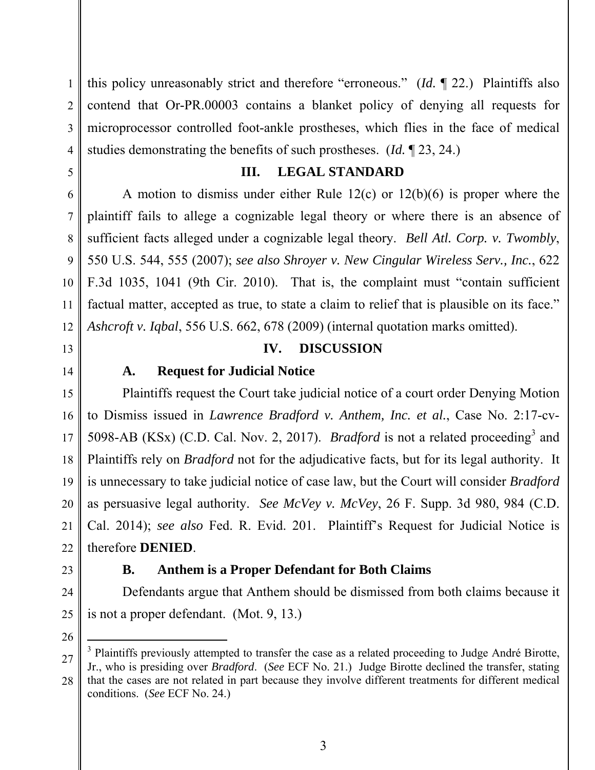1 2 3 4 this policy unreasonably strict and therefore "erroneous." (*Id.* ¶ 22.) Plaintiffs also contend that Or-PR.00003 contains a blanket policy of denying all requests for microprocessor controlled foot-ankle prostheses, which flies in the face of medical studies demonstrating the benefits of such prostheses. (*Id.* ¶ 23, 24.)

### **III. LEGAL STANDARD**

A motion to dismiss under either Rule 12(c) or 12(b)(6) is proper where the plaintiff fails to allege a cognizable legal theory or where there is an absence of sufficient facts alleged under a cognizable legal theory. *Bell Atl. Corp. v. Twombly*, 550 U.S. 544, 555 (2007); *see also Shroyer v. New Cingular Wireless Serv., Inc.*, 622 F.3d 1035, 1041 (9th Cir. 2010). That is, the complaint must "contain sufficient factual matter, accepted as true, to state a claim to relief that is plausible on its face." *Ashcroft v. Iqbal*, 556 U.S. 662, 678 (2009) (internal quotation marks omitted).

## **IV. DISCUSSION**

# **A. Request for Judicial Notice**

 Plaintiffs request the Court take judicial notice of a court order Denying Motion to Dismiss issued in *Lawrence Bradford v. Anthem, Inc. et al.*, Case No. 2:17-cv-5098-AB (KSx) (C.D. Cal. Nov. 2, 2017). *Bradford* is not a related proceeding<sup>3</sup> and Plaintiffs rely on *Bradford* not for the adjudicative facts, but for its legal authority. It is unnecessary to take judicial notice of case law, but the Court will consider *Bradford*  as persuasive legal authority. *See McVey v. McVey*, 26 F. Supp. 3d 980, 984 (C.D. Cal. 2014); *see also* Fed. R. Evid. 201. Plaintiff's Request for Judicial Notice is therefore **DENIED**.

26

-

Defendants argue that Anthem should be dismissed from both claims because it is not a proper defendant. (Mot. 9, 13.)

**B. Anthem is a Proper Defendant for Both Claims** 

<sup>28</sup> <sup>3</sup> Plaintiffs previously attempted to transfer the case as a related proceeding to Judge André Birotte, Jr., who is presiding over *Bradford*. (*See* ECF No. 21.) Judge Birotte declined the transfer, stating that the cases are not related in part because they involve different treatments for different medical

conditions. (*See* ECF No. 24.)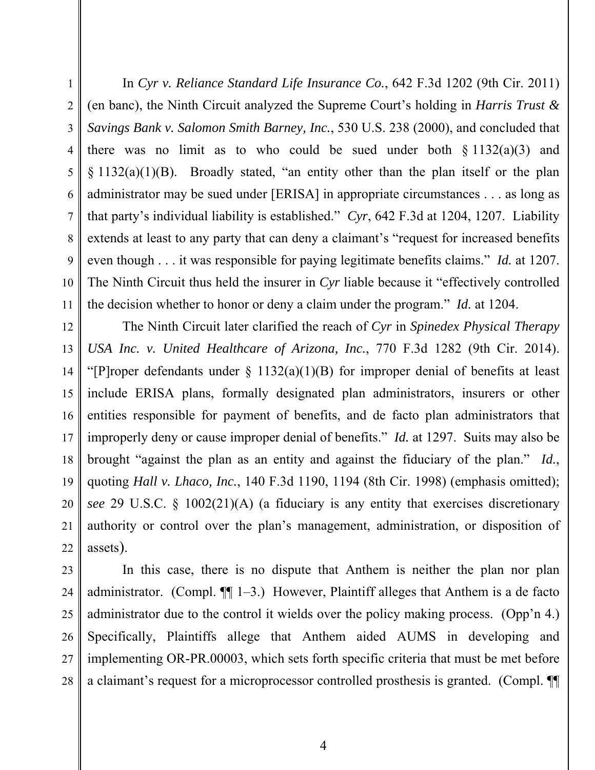In *Cyr v. Reliance Standard Life Insurance Co.*, 642 F.3d 1202 (9th Cir. 2011) (en banc), the Ninth Circuit analyzed the Supreme Court's holding in *Harris Trust & Savings Bank v. Salomon Smith Barney, Inc.*, 530 U.S. 238 (2000), and concluded that there was no limit as to who could be sued under both  $\S 1132(a)(3)$  and § 1132(a)(1)(B). Broadly stated, "an entity other than the plan itself or the plan administrator may be sued under [ERISA] in appropriate circumstances . . . as long as that party's individual liability is established." *Cyr*, 642 F.3d at 1204, 1207. Liability extends at least to any party that can deny a claimant's "request for increased benefits even though . . . it was responsible for paying legitimate benefits claims." *Id.* at 1207. The Ninth Circuit thus held the insurer in *Cyr* liable because it "effectively controlled the decision whether to honor or deny a claim under the program." *Id.* at 1204.

12 13 14 15 16 17 18 19 20 22 The Ninth Circuit later clarified the reach of *Cyr* in *Spinedex Physical Therapy USA Inc. v. United Healthcare of Arizona, Inc.*, 770 F.3d 1282 (9th Cir. 2014). "[P]roper defendants under  $\S$  1132(a)(1)(B) for improper denial of benefits at least include ERISA plans, formally designated plan administrators, insurers or other entities responsible for payment of benefits, and de facto plan administrators that improperly deny or cause improper denial of benefits." *Id.* at 1297. Suits may also be brought "against the plan as an entity and against the fiduciary of the plan." *Id.*, quoting *Hall v. Lhaco, Inc.*, 140 F.3d 1190, 1194 (8th Cir. 1998) (emphasis omitted); *see* 29 U.S.C. § 1002(21)(A) (a fiduciary is any entity that exercises discretionary authority or control over the plan's management, administration, or disposition of assets).

23 24 25 26 27 28 In this case, there is no dispute that Anthem is neither the plan nor plan administrator. (Compl. ¶¶ 1–3.) However, Plaintiff alleges that Anthem is a de facto administrator due to the control it wields over the policy making process. (Opp'n 4.) Specifically, Plaintiffs allege that Anthem aided AUMS in developing and implementing OR-PR.00003, which sets forth specific criteria that must be met before a claimant's request for a microprocessor controlled prosthesis is granted. (Compl. ¶¶

1

2

3

4

5

6

7

8

9

10

11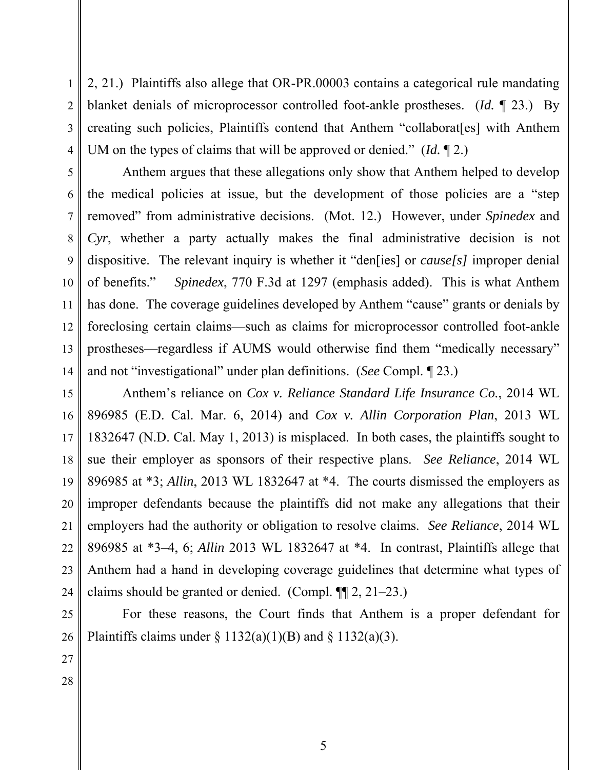2, 21.) Plaintiffs also allege that OR-PR.00003 contains a categorical rule mandating blanket denials of microprocessor controlled foot-ankle prostheses. (*Id.* ¶ 23.) By creating such policies, Plaintiffs contend that Anthem "collaborat[es] with Anthem UM on the types of claims that will be approved or denied." (*Id.* ¶ 2.)

Anthem argues that these allegations only show that Anthem helped to develop the medical policies at issue, but the development of those policies are a "step removed" from administrative decisions. (Mot. 12.) However, under *Spinedex* and *Cyr*, whether a party actually makes the final administrative decision is not dispositive. The relevant inquiry is whether it "den[ies] or *cause[s]* improper denial of benefits." *Spinedex*, 770 F.3d at 1297 (emphasis added). This is what Anthem has done. The coverage guidelines developed by Anthem "cause" grants or denials by foreclosing certain claims—such as claims for microprocessor controlled foot-ankle prostheses—regardless if AUMS would otherwise find them "medically necessary" and not "investigational" under plan definitions. (*See* Compl. ¶ 23.)

Anthem's reliance on *Cox v. Reliance Standard Life Insurance Co.*, 2014 WL 896985 (E.D. Cal. Mar. 6, 2014) and *Cox v. Allin Corporation Plan*, 2013 WL 1832647 (N.D. Cal. May 1, 2013) is misplaced. In both cases, the plaintiffs sought to sue their employer as sponsors of their respective plans. *See Reliance*, 2014 WL 896985 at \*3; *Allin*, 2013 WL 1832647 at \*4. The courts dismissed the employers as improper defendants because the plaintiffs did not make any allegations that their employers had the authority or obligation to resolve claims. *See Reliance*, 2014 WL 896985 at \*3–4, 6; *Allin* 2013 WL 1832647 at \*4. In contrast, Plaintiffs allege that Anthem had a hand in developing coverage guidelines that determine what types of claims should be granted or denied. (Compl. ¶¶ 2, 21–23.)

For these reasons, the Court finds that Anthem is a proper defendant for Plaintiffs claims under  $\S 1132(a)(1)(B)$  and  $\S 1132(a)(3)$ .

1

2

3

4

5

6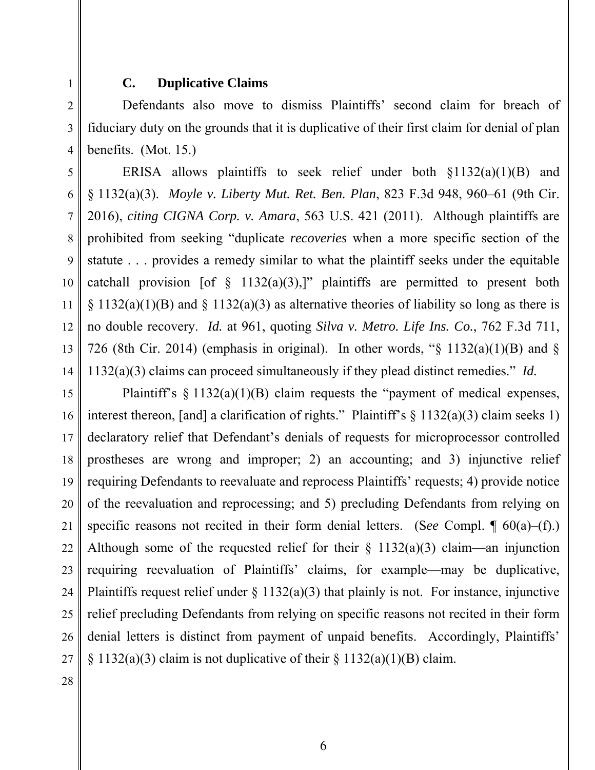### **C. Duplicative Claims**

Defendants also move to dismiss Plaintiffs' second claim for breach of fiduciary duty on the grounds that it is duplicative of their first claim for denial of plan benefits. (Mot. 15.)

ERISA allows plaintiffs to seek relief under both  $\S1132(a)(1)(B)$  and § 1132(a)(3). *Moyle v. Liberty Mut. Ret. Ben. Plan*, 823 F.3d 948, 960–61 (9th Cir. 2016), *citing CIGNA Corp. v. Amara*, 563 U.S. 421 (2011). Although plaintiffs are prohibited from seeking "duplicate *recoveries* when a more specific section of the statute . . . provides a remedy similar to what the plaintiff seeks under the equitable catchall provision [of  $\S$  1132(a)(3),]" plaintiffs are permitted to present both  $\S 1132(a)(1)(B)$  and  $\S 1132(a)(3)$  as alternative theories of liability so long as there is no double recovery. *Id.* at 961, quoting *Silva v. Metro. Life Ins. Co.*, 762 F.3d 711, 726 (8th Cir. 2014) (emphasis in original). In other words, " $\S$  1132(a)(1)(B) and  $\S$ 1132(a)(3) claims can proceed simultaneously if they plead distinct remedies." *Id.*

15 16 17 18 19 20 21 22 23 24 25 26 27 Plaintiff's  $\S 1132(a)(1)(B)$  claim requests the "payment of medical expenses, interest thereon, [and] a clarification of rights." Plaintiff's  $\S$  1132(a)(3) claim seeks 1) declaratory relief that Defendant's denials of requests for microprocessor controlled prostheses are wrong and improper; 2) an accounting; and 3) injunctive relief requiring Defendants to reevaluate and reprocess Plaintiffs' requests; 4) provide notice of the reevaluation and reprocessing; and 5) precluding Defendants from relying on specific reasons not recited in their form denial letters. (S*ee* Compl. ¶ 60(a)–(f).) Although some of the requested relief for their  $\S$  1132(a)(3) claim—an injunction requiring reevaluation of Plaintiffs' claims, for example—may be duplicative, Plaintiffs request relief under  $\S 1132(a)(3)$  that plainly is not. For instance, injunctive relief precluding Defendants from relying on specific reasons not recited in their form denial letters is distinct from payment of unpaid benefits. Accordingly, Plaintiffs'  $\S 1132(a)(3)$  claim is not duplicative of their  $\S 1132(a)(1)(B)$  claim.

1

2

3

4

5

6

7

8

9

10

11

12

13